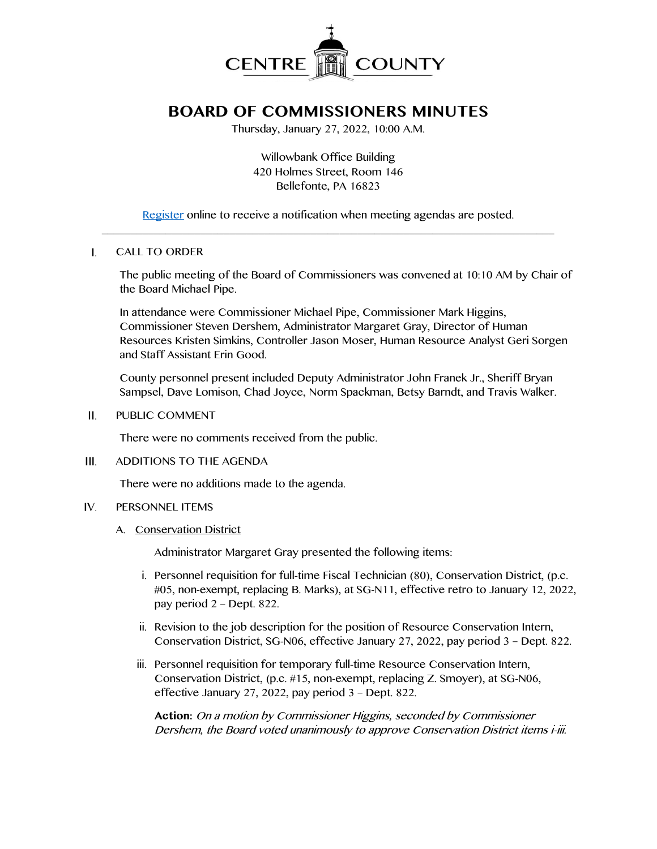

# **BOARD OF COMMISSIONERS MINUTES**

Thursday, January 27, 2022, 10:00 A.M.

Willowbank Office Building 420 Holmes Street, Room 146 Bellefonte, PA 16823

[Register](http://www.centrecountypa.gov/AgendaCenter) online to receive a notification when meeting agendas are posted.  $\overline{\phantom{a}}$  , and the contribution of the contribution of the contribution of the contribution of the contribution of the contribution of the contribution of the contribution of the contribution of the contribution of the

### $\mathbf{I}$ . CALL TO ORDER

The public meeting of the Board of Commissioners was convened at 10:10 AM by Chair of the Board Michael Pipe.

In attendance were Commissioner Michael Pipe, Commissioner Mark Higgins, Commissioner Steven Dershem, Administrator Margaret Gray, Director of Human Resources Kristen Simkins, Controller Jason Moser, Human Resource Analyst Geri Sorgen and Staff Assistant Erin Good.

County personnel present included Deputy Administrator John Franek Jr., Sheriff Bryan Sampsel, Dave Lomison, Chad Joyce, Norm Spackman, Betsy Barndt, and Travis Walker.

 $II.$ PUBLIC COMMENT

There were no comments received from the public.

 $III.$ ADDITIONS TO THE AGENDA

There were no additions made to the agenda.

- IV. PERSONNEL ITEMS
	- A. Conservation District

Administrator Margaret Gray presented the following items:

- i. Personnel requisition for full-time Fiscal Technician (80), Conservation District, (p.c. #05, non-exempt, replacing B. Marks), at SG-N11, effective retro to January 12, 2022, pay period 2 – Dept. 822.
- ii. Revision to the job description for the position of Resource Conservation Intern, Conservation District, SG-N06, effective January 27, 2022, pay period 3 – Dept. 822.
- iii. Personnel requisition for temporary full-time Resource Conservation Intern, Conservation District, (p.c. #15, non-exempt, replacing Z. Smoyer), at SG-N06, effective January 27, 2022, pay period 3 – Dept. 822.

**Action:** On a motion by Commissioner Higgins, seconded by Commissioner Dershem, the Board voted unanimously to approve Conservation District items i-iii.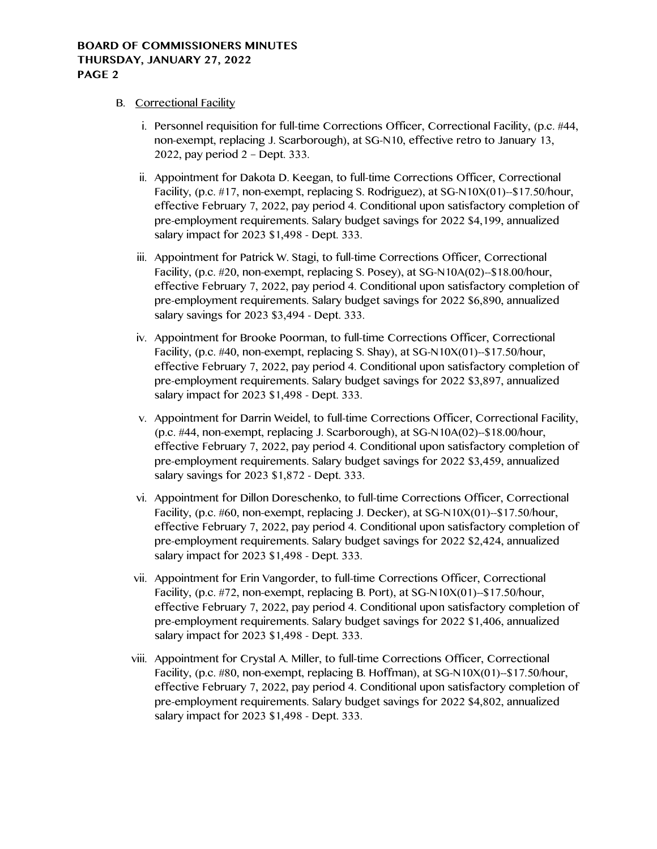# B. Correctional Facility

- i. Personnel requisition for full-time Corrections Officer, Correctional Facility, (p.c. #44, non-exempt, replacing J. Scarborough), at SG-N10, effective retro to January 13, 2022, pay period 2 – Dept. 333.
- ii. Appointment for Dakota D. Keegan, to full-time Corrections Officer, Correctional Facility, (p.c. #17, non-exempt, replacing S. Rodriguez), at SG-N10X(01)--\$17.50/hour, effective February 7, 2022, pay period 4. Conditional upon satisfactory completion of pre-employment requirements. Salary budget savings for 2022 \$4,199, annualized salary impact for 2023 \$1,498 - Dept. 333.
- iii. Appointment for Patrick W. Stagi, to full-time Corrections Officer, Correctional Facility, (p.c. #20, non-exempt, replacing S. Posey), at SG-N10A(02)--\$18.00/hour, effective February 7, 2022, pay period 4. Conditional upon satisfactory completion of pre-employment requirements. Salary budget savings for 2022 \$6,890, annualized salary savings for 2023 \$3,494 - Dept. 333.
- iv. Appointment for Brooke Poorman, to full-time Corrections Officer, Correctional Facility, (p.c. #40, non-exempt, replacing S. Shay), at SG-N10X(01)--\$17.50/hour, effective February 7, 2022, pay period 4. Conditional upon satisfactory completion of pre-employment requirements. Salary budget savings for 2022 \$3,897, annualized salary impact for 2023 \$1,498 - Dept. 333.
- v. Appointment for Darrin Weidel, to full-time Corrections Officer, Correctional Facility, (p.c. #44, non-exempt, replacing J. Scarborough), at SG-N10A(02)--\$18.00/hour, effective February 7, 2022, pay period 4. Conditional upon satisfactory completion of pre-employment requirements. Salary budget savings for 2022 \$3,459, annualized salary savings for 2023 \$1,872 - Dept. 333.
- vi. Appointment for Dillon Doreschenko, to full-time Corrections Officer, Correctional Facility, (p.c. #60, non-exempt, replacing J. Decker), at SG-N10X(01)--\$17.50/hour, effective February 7, 2022, pay period 4. Conditional upon satisfactory completion of pre-employment requirements. Salary budget savings for 2022 \$2,424, annualized salary impact for 2023 \$1,498 - Dept. 333.
- vii. Appointment for Erin Vangorder, to full-time Corrections Officer, Correctional Facility, (p.c. #72, non-exempt, replacing B. Port), at SG-N10X(01)--\$17.50/hour, effective February 7, 2022, pay period 4. Conditional upon satisfactory completion of pre-employment requirements. Salary budget savings for 2022 \$1,406, annualized salary impact for 2023 \$1,498 - Dept. 333.
- viii. Appointment for Crystal A. Miller, to full-time Corrections Officer, Correctional Facility, (p.c. #80, non-exempt, replacing B. Hoffman), at SG-N10X(01)--\$17.50/hour, effective February 7, 2022, pay period 4. Conditional upon satisfactory completion of pre-employment requirements. Salary budget savings for 2022 \$4,802, annualized salary impact for 2023 \$1,498 - Dept. 333.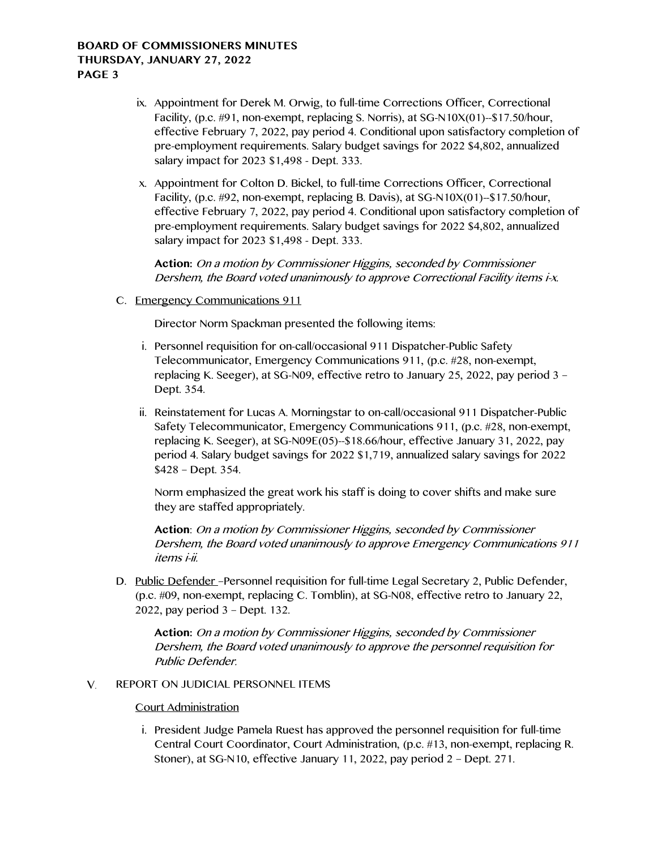- ix. Appointment for Derek M. Orwig, to full-time Corrections Officer, Correctional Facility, (p.c. #91, non-exempt, replacing S. Norris), at SG-N10X(01)--\$17.50/hour, effective February 7, 2022, pay period 4. Conditional upon satisfactory completion of pre-employment requirements. Salary budget savings for 2022 \$4,802, annualized salary impact for 2023 \$1,498 - Dept. 333.
- x. Appointment for Colton D. Bickel, to full-time Corrections Officer, Correctional Facility, (p.c. #92, non-exempt, replacing B. Davis), at SG-N10X(01)--\$17.50/hour, effective February 7, 2022, pay period 4. Conditional upon satisfactory completion of pre-employment requirements. Salary budget savings for 2022 \$4,802, annualized salary impact for 2023 \$1,498 - Dept. 333.

**Action:** On a motion by Commissioner Higgins, seconded by Commissioner Dershem, the Board voted unanimously to approve Correctional Facility items i-x.

C. Emergency Communications 911

Director Norm Spackman presented the following items:

- i. Personnel requisition for on-call/occasional 911 Dispatcher-Public Safety Telecommunicator, Emergency Communications 911, (p.c. #28, non-exempt, replacing K. Seeger), at SG-N09, effective retro to January 25, 2022, pay period 3 – Dept. 354.
- ii. Reinstatement for Lucas A. Morningstar to on-call/occasional 911 Dispatcher-Public Safety Telecommunicator, Emergency Communications 911, (p.c. #28, non-exempt, replacing K. Seeger), at SG-N09E(05)--\$18.66/hour, effective January 31, 2022, pay period 4. Salary budget savings for 2022 \$1,719, annualized salary savings for 2022 \$428 – Dept. 354.

Norm emphasized the great work his staff is doing to cover shifts and make sure they are staffed appropriately.

**Action**: On a motion by Commissioner Higgins, seconded by Commissioner Dershem, the Board voted unanimously to approve Emergency Communications 911 items i-ii.

D. Public Defender – Personnel requisition for full-time Legal Secretary 2, Public Defender, (p.c. #09, non-exempt, replacing C. Tomblin), at SG-N08, effective retro to January 22, 2022, pay period 3 – Dept. 132.

**Action:** On a motion by Commissioner Higgins, seconded by Commissioner Dershem, the Board voted unanimously to approve the personnel requisition for Public Defender.

### V. REPORT ON JUDICIAL PERSONNEL ITEMS

# Court Administration

i. President Judge Pamela Ruest has approved the personnel requisition for full-time Central Court Coordinator, Court Administration, (p.c. #13, non-exempt, replacing R. Stoner), at SG-N10, effective January 11, 2022, pay period 2 – Dept. 271.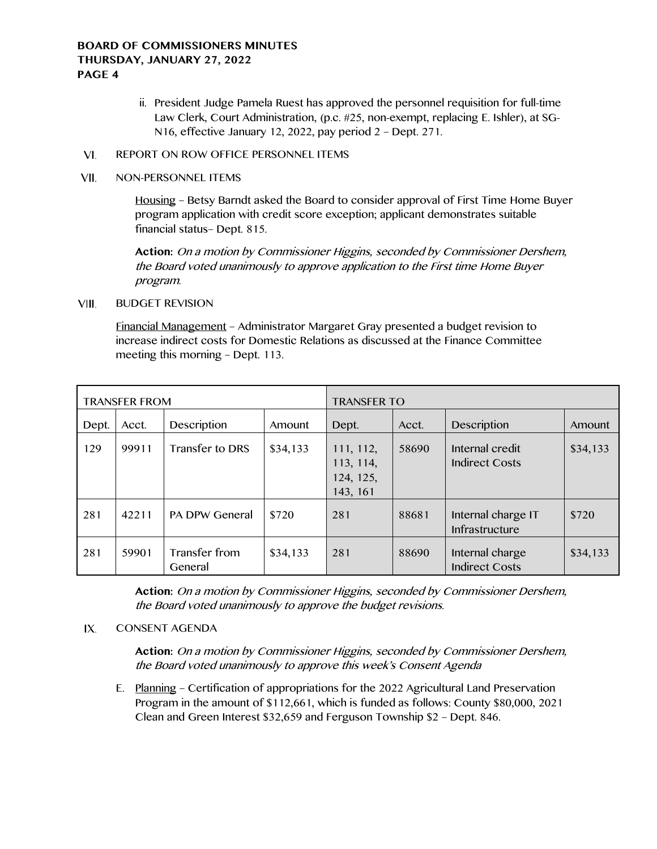- ii. President Judge Pamela Ruest has approved the personnel requisition for full-time Law Clerk, Court Administration, (p.c. #25, non-exempt, replacing E. Ishler), at SG-N16, effective January 12, 2022, pay period 2 – Dept. 271.
- VI. REPORT ON ROW OFFICE PERSONNEL ITEMS
- VII. NON-PERSONNEL ITEMS

Housing – Betsy Barndt asked the Board to consider approval of First Time Home Buyer program application with credit score exception; applicant demonstrates suitable financial status– Dept. 815.

**Action:** On a motion by Commissioner Higgins, seconded by Commissioner Dershem, the Board voted unanimously to approve application to the First time Home Buyer program.

### VIII. BUDGET REVISION

Financial Management – Administrator Margaret Gray presented a budget revision to increase indirect costs for Domestic Relations as discussed at the Finance Committee meeting this morning – Dept. 113.

| <b>TRANSFER FROM</b> |       |                          |          | <b>TRANSFER TO</b>                              |       |                                          |          |
|----------------------|-------|--------------------------|----------|-------------------------------------------------|-------|------------------------------------------|----------|
| Dept.                | Acct. | Description              | Amount   | Dept.                                           | Acct. | Description                              | Amount   |
| 129                  | 99911 | Transfer to DRS          | \$34,133 | 111, 112,<br>113, 114,<br>124, 125,<br>143, 161 | 58690 | Internal credit<br><b>Indirect Costs</b> | \$34,133 |
| 281                  | 42211 | <b>PA DPW General</b>    | \$720    | 281                                             | 88681 | Internal charge IT<br>Infrastructure     | \$720    |
| 281                  | 59901 | Transfer from<br>General | \$34,133 | 281                                             | 88690 | Internal charge<br><b>Indirect Costs</b> | \$34,133 |

**Action:** On a motion by Commissioner Higgins, seconded by Commissioner Dershem, the Board voted unanimously to approve the budget revisions.

### $IX.$ CONSENT AGENDA

**Action:** On a motion by Commissioner Higgins, seconded by Commissioner Dershem, the Board voted unanimously to approve this week's Consent Agenda

E. Planning – Certification of appropriations for the 2022 Agricultural Land Preservation Program in the amount of \$112,661, which is funded as follows: County \$80,000, 2021 Clean and Green Interest \$32,659 and Ferguson Township \$2 – Dept. 846.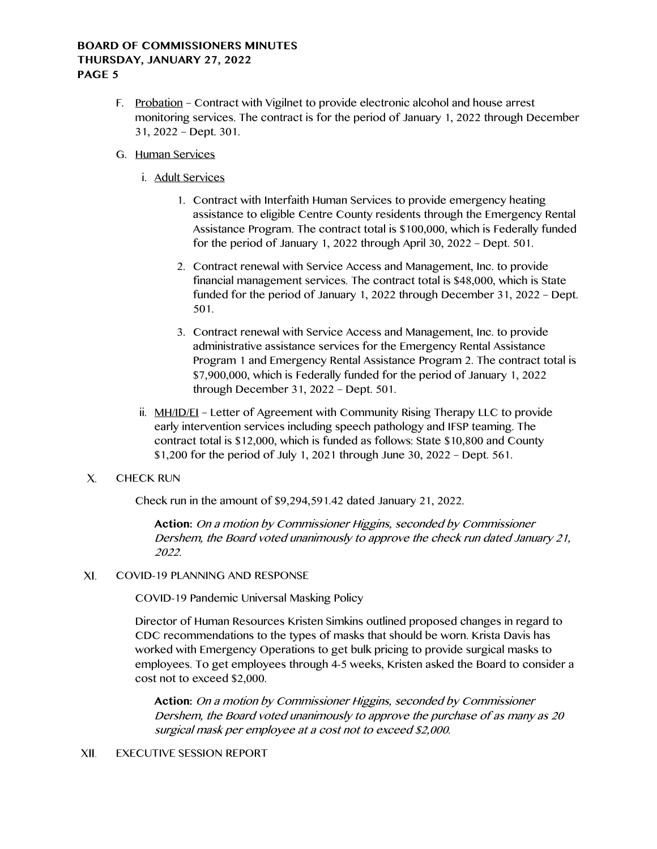- F. Probation Contract with Vigilnet to provide electronic alcohol and house arrest monitoring services. The contract is for the period of January 1, 2022 through December 31, 2022 – Dept. 301.
- G. Human Services
	- i. Adult Services
		- 1. Contract with Interfaith Human Services to provide emergency heating assistance to eligible Centre County residents through the Emergency Rental Assistance Program. The contract total is \$100,000, which is Federally funded for the period of January 1, 2022 through April 30, 2022 – Dept. 501.
		- 2. Contract renewal with Service Access and Management, Inc. to provide financial management services. The contract total is \$48,000, which is State funded for the period of January 1, 2022 through December 31, 2022 – Dept. 501.
		- 3. Contract renewal with Service Access and Management, Inc. to provide administrative assistance services for the Emergency Rental Assistance Program 1 and Emergency Rental Assistance Program 2. The contract total is \$7,900,000, which is Federally funded for the period of January 1, 2022 through December 31, 2022 – Dept. 501.
	- ii. MH/ID/EI Letter of Agreement with Community Rising Therapy LLC to provide early intervention services including speech pathology and IFSP teaming. The contract total is \$12,000, which is funded as follows: State \$10,800 and County \$1,200 for the period of July 1, 2021 through June 30, 2022 – Dept. 561.
- $X_{1}$ CHECK RUN

Check run in the amount of \$9,294,591.42 dated January 21, 2022.

**Action:** On a motion by Commissioner Higgins, seconded by Commissioner Dershem, the Board voted unanimously to approve the check run dated January 21, 2022.

 $XI.$ COVID-19 PLANNING AND RESPONSE

COVID-19 Pandemic Universal Masking Policy

Director of Human Resources Kristen Simkins outlined proposed changes in regard to CDC recommendations to the types of masks that should be worn. Krista Davis has worked with Emergency Operations to get bulk pricing to provide surgical masks to employees. To get employees through 4-5 weeks, Kristen asked the Board to consider a cost not to exceed \$2,000.

**Action:** On a motion by Commissioner Higgins, seconded by Commissioner Dershem, the Board voted unanimously to approve the purchase of as many as 20 surgical mask per employee at a cost not to exceed \$2,000.

#### XII. EXECUTIVE SESSION REPORT